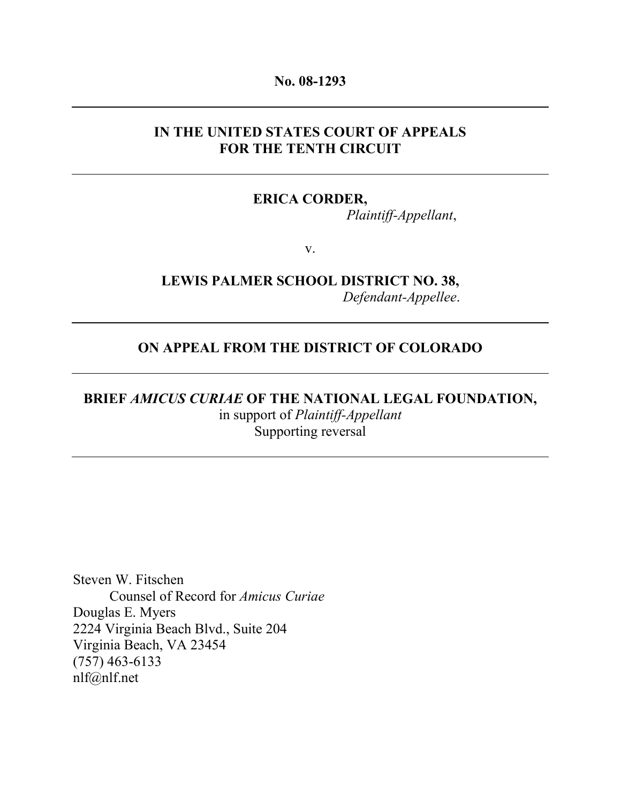#### No. 08-1293

### IN THE UNITED STATES COURT OF APPEALS FOR THE TENTH CIRCUIT

### ERICA CORDER,

Plaintiff-Appellant,

v.

# LEWIS PALMER SCHOOL DISTRICT NO. 38, Defendant-Appellee.

### ON APPEAL FROM THE DISTRICT OF COLORADO

# BRIEF AMICUS CURIAE OF THE NATIONAL LEGAL FOUNDATION, in support of Plaintiff-Appellant Supporting reversal

Steven W. Fitschen Counsel of Record for Amicus Curiae Douglas E. Myers 2224 Virginia Beach Blvd., Suite 204 Virginia Beach, VA 23454 (757) 463-6133 nlf@nlf.net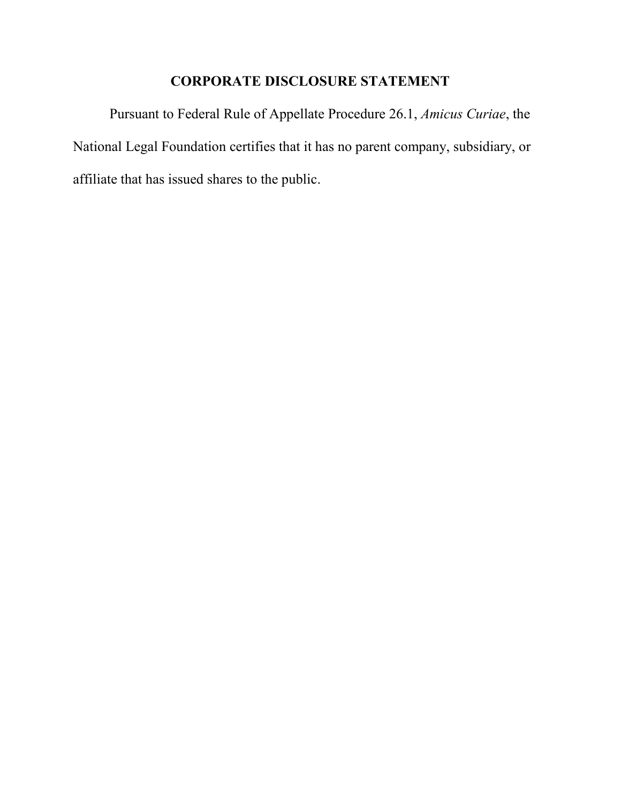# CORPORATE DISCLOSURE STATEMENT

Pursuant to Federal Rule of Appellate Procedure 26.1, Amicus Curiae, the National Legal Foundation certifies that it has no parent company, subsidiary, or affiliate that has issued shares to the public.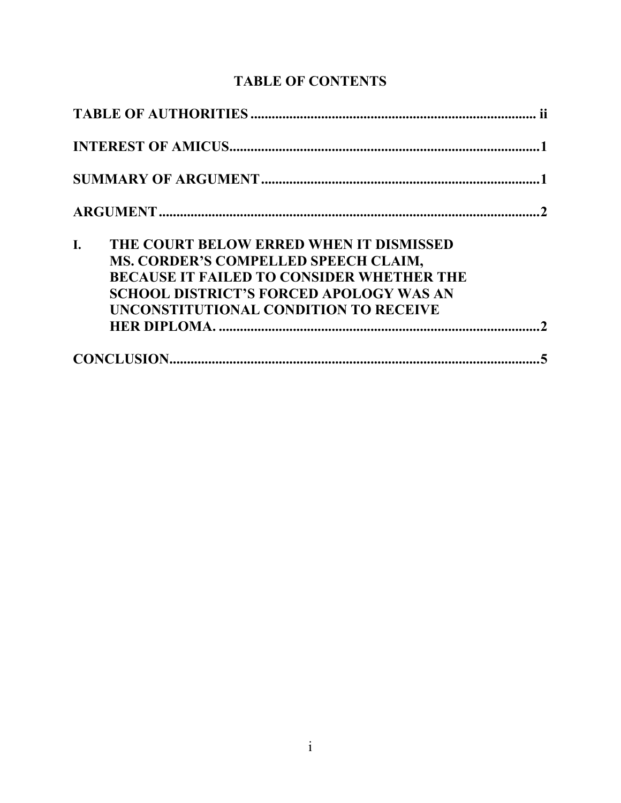# TABLE OF CONTENTS

| I. | THE COURT BELOW ERRED WHEN IT DISMISSED                                                  |  |
|----|------------------------------------------------------------------------------------------|--|
|    | MS. CORDER'S COMPELLED SPEECH CLAIM,<br><b>BECAUSE IT FAILED TO CONSIDER WHETHER THE</b> |  |
|    | <b>SCHOOL DISTRICT'S FORCED APOLOGY WAS AN</b><br>UNCONSTITUTIONAL CONDITION TO RECEIVE  |  |
|    |                                                                                          |  |
|    |                                                                                          |  |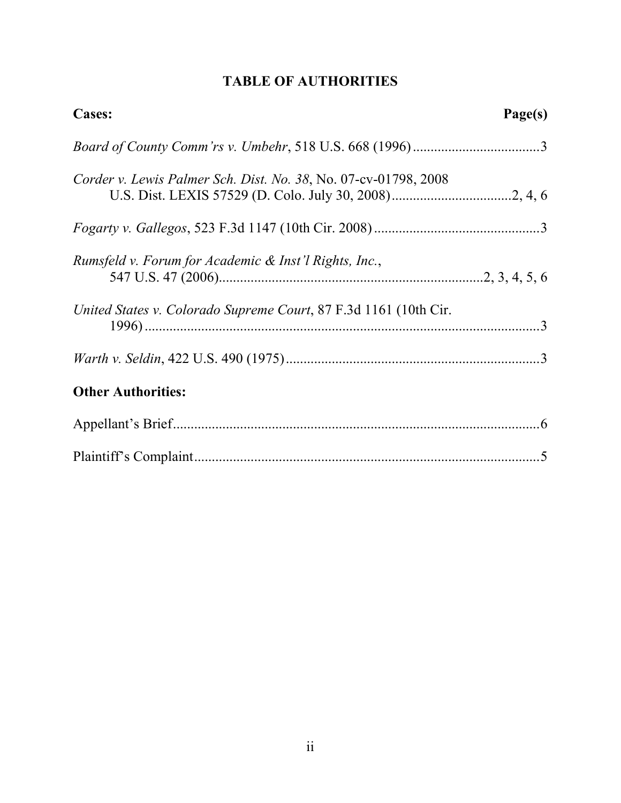# TABLE OF AUTHORITIES

| <b>Cases:</b>                                                    | Page(s) |
|------------------------------------------------------------------|---------|
|                                                                  |         |
| Corder v. Lewis Palmer Sch. Dist. No. 38, No. 07-cv-01798, 2008  |         |
|                                                                  |         |
| Rumsfeld v. Forum for Academic & Inst'l Rights, Inc.,            |         |
| United States v. Colorado Supreme Court, 87 F.3d 1161 (10th Cir. |         |
|                                                                  |         |
| <b>Other Authorities:</b>                                        |         |
|                                                                  |         |
|                                                                  |         |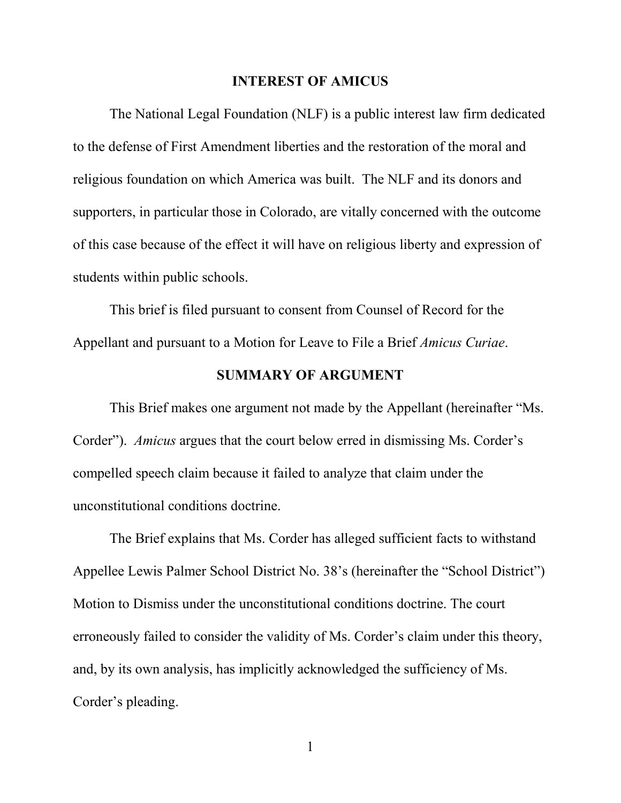#### INTEREST OF AMICUS

The National Legal Foundation (NLF) is a public interest law firm dedicated to the defense of First Amendment liberties and the restoration of the moral and religious foundation on which America was built. The NLF and its donors and supporters, in particular those in Colorado, are vitally concerned with the outcome of this case because of the effect it will have on religious liberty and expression of students within public schools.

This brief is filed pursuant to consent from Counsel of Record for the Appellant and pursuant to a Motion for Leave to File a Brief Amicus Curiae.

### SUMMARY OF ARGUMENT

This Brief makes one argument not made by the Appellant (hereinafter "Ms. Corder"). Amicus argues that the court below erred in dismissing Ms. Corder's compelled speech claim because it failed to analyze that claim under the unconstitutional conditions doctrine.

The Brief explains that Ms. Corder has alleged sufficient facts to withstand Appellee Lewis Palmer School District No. 38's (hereinafter the "School District") Motion to Dismiss under the unconstitutional conditions doctrine. The court erroneously failed to consider the validity of Ms. Corder's claim under this theory, and, by its own analysis, has implicitly acknowledged the sufficiency of Ms. Corder's pleading.

1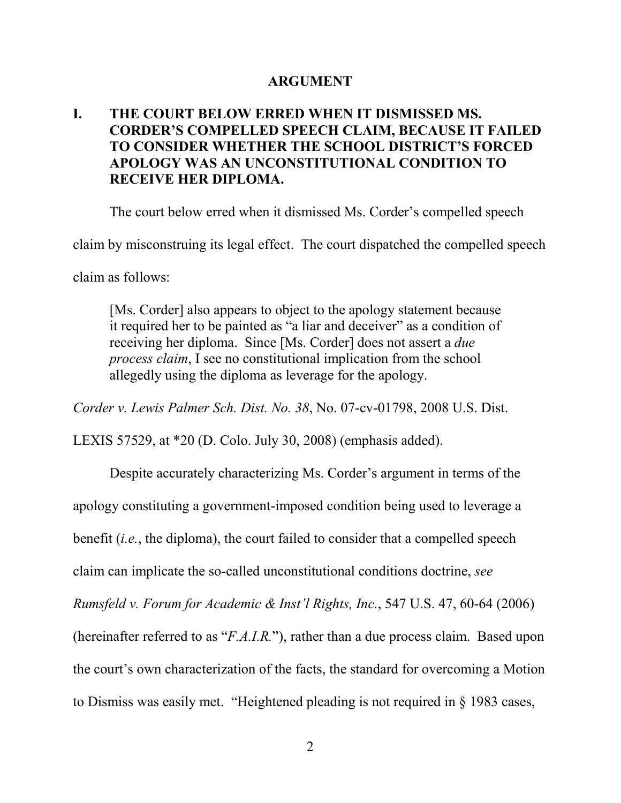## ARGUMENT

## I. THE COURT BELOW ERRED WHEN IT DISMISSED MS. CORDER'S COMPELLED SPEECH CLAIM, BECAUSE IT FAILED TO CONSIDER WHETHER THE SCHOOL DISTRICT'S FORCED APOLOGY WAS AN UNCONSTITUTIONAL CONDITION TO RECEIVE HER DIPLOMA.

The court below erred when it dismissed Ms. Corder's compelled speech

claim by misconstruing its legal effect. The court dispatched the compelled speech

claim as follows:

[Ms. Corder] also appears to object to the apology statement because it required her to be painted as "a liar and deceiver" as a condition of receiving her diploma. Since [Ms. Corder] does not assert a due process claim, I see no constitutional implication from the school allegedly using the diploma as leverage for the apology.

Corder v. Lewis Palmer Sch. Dist. No. 38, No. 07-cv-01798, 2008 U.S. Dist.

LEXIS 57529, at \*20 (D. Colo. July 30, 2008) (emphasis added).

Despite accurately characterizing Ms. Corder's argument in terms of the apology constituting a government-imposed condition being used to leverage a benefit (i.e., the diploma), the court failed to consider that a compelled speech claim can implicate the so-called unconstitutional conditions doctrine, see Rumsfeld v. Forum for Academic & Inst'l Rights, Inc., 547 U.S. 47, 60-64 (2006) (hereinafter referred to as "F.A.I.R."), rather than a due process claim. Based upon the court's own characterization of the facts, the standard for overcoming a Motion to Dismiss was easily met. "Heightened pleading is not required in § 1983 cases,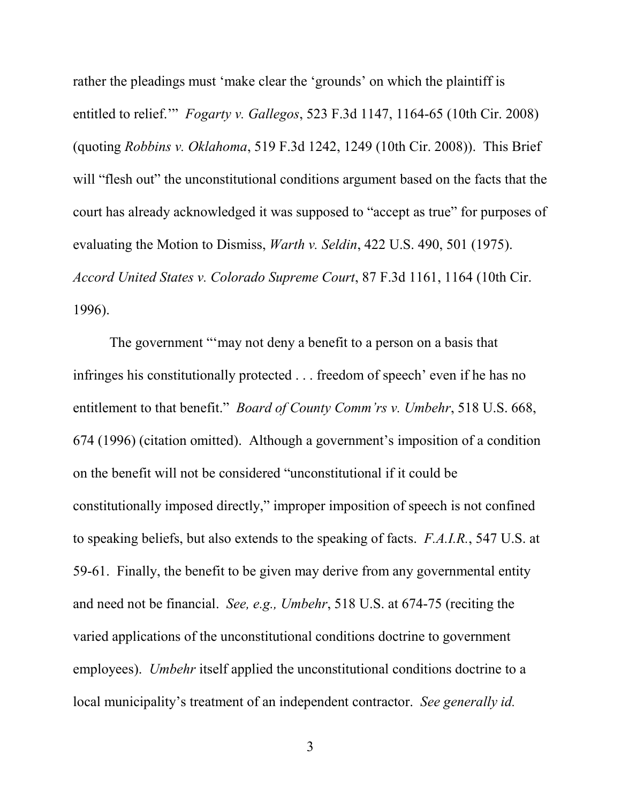rather the pleadings must 'make clear the 'grounds' on which the plaintiff is entitled to relief.'" Fogarty v. Gallegos, 523 F.3d 1147, 1164-65 (10th Cir. 2008) (quoting Robbins v. Oklahoma, 519 F.3d 1242, 1249 (10th Cir. 2008)). This Brief will "flesh out" the unconstitutional conditions argument based on the facts that the court has already acknowledged it was supposed to "accept as true" for purposes of evaluating the Motion to Dismiss, Warth v. Seldin, 422 U.S. 490, 501 (1975). Accord United States v. Colorado Supreme Court, 87 F.3d 1161, 1164 (10th Cir. 1996).

The government "'may not deny a benefit to a person on a basis that infringes his constitutionally protected . . . freedom of speech' even if he has no entitlement to that benefit." *Board of County Comm'rs v. Umbehr*, 518 U.S. 668, 674 (1996) (citation omitted). Although a government's imposition of a condition on the benefit will not be considered "unconstitutional if it could be constitutionally imposed directly," improper imposition of speech is not confined to speaking beliefs, but also extends to the speaking of facts. F.A.I.R., 547 U.S. at 59-61. Finally, the benefit to be given may derive from any governmental entity and need not be financial. See, e.g., Umbehr, 518 U.S. at 674-75 (reciting the varied applications of the unconstitutional conditions doctrine to government employees). Umbehr itself applied the unconstitutional conditions doctrine to a local municipality's treatment of an independent contractor. See generally id.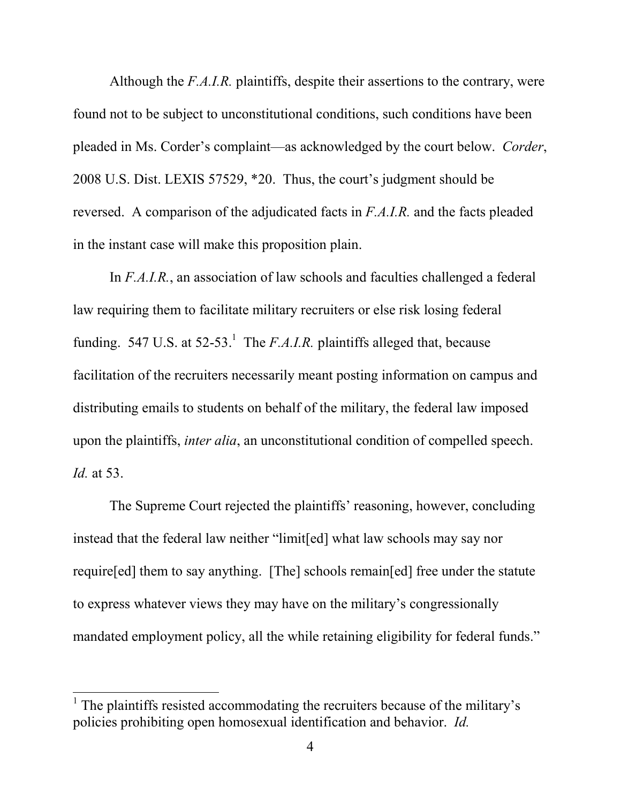Although the F.A.I.R. plaintiffs, despite their assertions to the contrary, were found not to be subject to unconstitutional conditions, such conditions have been pleaded in Ms. Corder's complaint—as acknowledged by the court below. Corder, 2008 U.S. Dist. LEXIS 57529, \*20. Thus, the court's judgment should be reversed. A comparison of the adjudicated facts in F.A.I.R. and the facts pleaded in the instant case will make this proposition plain.

In F.A.I.R., an association of law schools and faculties challenged a federal law requiring them to facilitate military recruiters or else risk losing federal funding. 547 U.S. at  $52-53$ .<sup>1</sup> The *F.A.I.R.* plaintiffs alleged that, because facilitation of the recruiters necessarily meant posting information on campus and distributing emails to students on behalf of the military, the federal law imposed upon the plaintiffs, inter alia, an unconstitutional condition of compelled speech. Id. at 53.

The Supreme Court rejected the plaintiffs' reasoning, however, concluding instead that the federal law neither "limit[ed] what law schools may say nor require[ed] them to say anything. [The] schools remain[ed] free under the statute to express whatever views they may have on the military's congressionally mandated employment policy, all the while retaining eligibility for federal funds."

-

<sup>1</sup> The plaintiffs resisted accommodating the recruiters because of the military's policies prohibiting open homosexual identification and behavior. Id.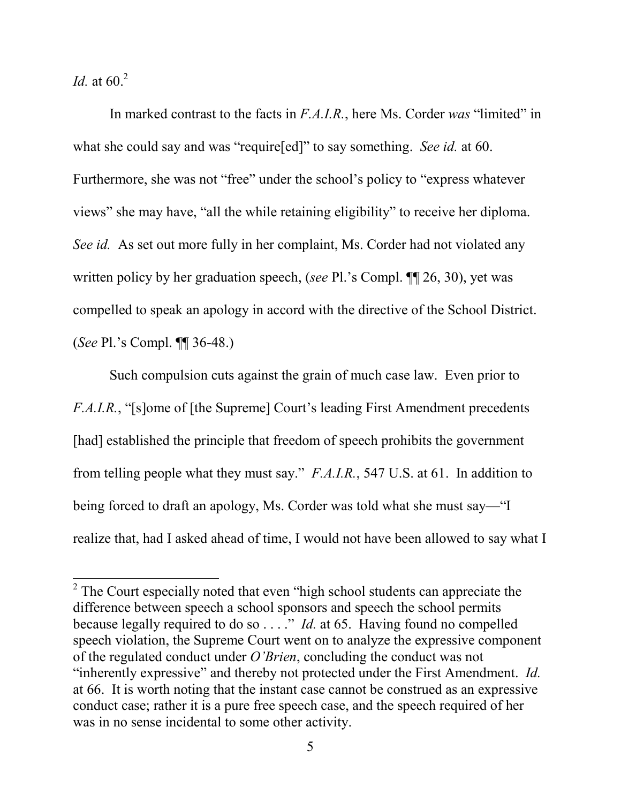*Id.* at  $60.<sup>2</sup>$ 

-

In marked contrast to the facts in F.A.I.R., here Ms. Corder was "limited" in what she could say and was "require[ed]" to say something. See id. at 60. Furthermore, she was not "free" under the school's policy to "express whatever views" she may have, "all the while retaining eligibility" to receive her diploma. See id. As set out more fully in her complaint, Ms. Corder had not violated any written policy by her graduation speech, (see Pl.'s Compl.  $\P$ [126, 30), yet was compelled to speak an apology in accord with the directive of the School District. (See Pl.'s Compl. ¶¶ 36-48.)

Such compulsion cuts against the grain of much case law. Even prior to F.A.I.R., "[s]ome of [the Supreme] Court's leading First Amendment precedents [had] established the principle that freedom of speech prohibits the government from telling people what they must say." F.A.I.R., 547 U.S. at 61. In addition to being forced to draft an apology, Ms. Corder was told what she must say—"I realize that, had I asked ahead of time, I would not have been allowed to say what I

 $2^2$  The Court especially noted that even "high school students can appreciate the difference between speech a school sponsors and speech the school permits because legally required to do so  $\dots$ ." *Id.* at 65. Having found no compelled speech violation, the Supreme Court went on to analyze the expressive component of the regulated conduct under O'Brien, concluding the conduct was not "inherently expressive" and thereby not protected under the First Amendment. Id. at 66. It is worth noting that the instant case cannot be construed as an expressive conduct case; rather it is a pure free speech case, and the speech required of her was in no sense incidental to some other activity.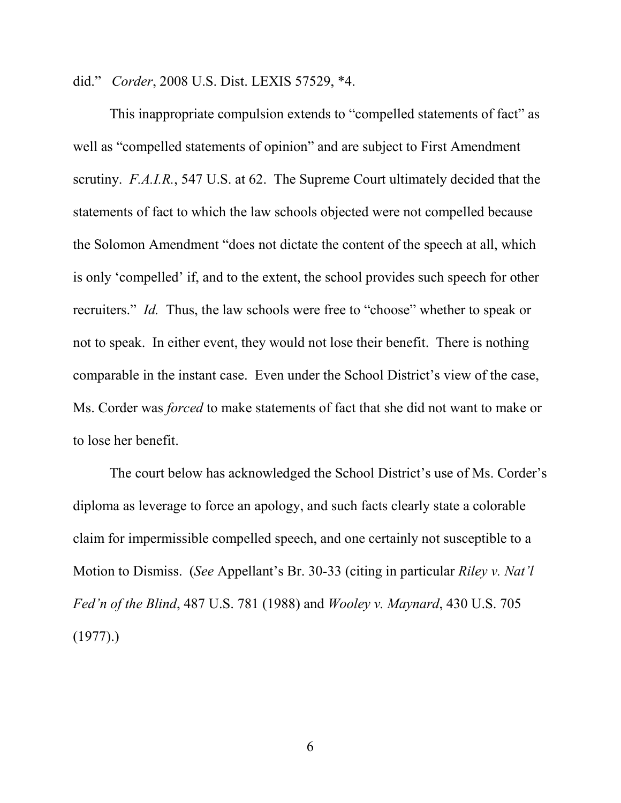did." Corder, 2008 U.S. Dist. LEXIS 57529, \*4.

This inappropriate compulsion extends to "compelled statements of fact" as well as "compelled statements of opinion" and are subject to First Amendment scrutiny. F.A.I.R., 547 U.S. at 62. The Supreme Court ultimately decided that the statements of fact to which the law schools objected were not compelled because the Solomon Amendment "does not dictate the content of the speech at all, which is only 'compelled' if, and to the extent, the school provides such speech for other recruiters." Id. Thus, the law schools were free to "choose" whether to speak or not to speak. In either event, they would not lose their benefit. There is nothing comparable in the instant case. Even under the School District's view of the case, Ms. Corder was forced to make statements of fact that she did not want to make or to lose her benefit.

The court below has acknowledged the School District's use of Ms. Corder's diploma as leverage to force an apology, and such facts clearly state a colorable claim for impermissible compelled speech, and one certainly not susceptible to a Motion to Dismiss. (See Appellant's Br. 30-33 (citing in particular Riley v. Nat'l Fed'n of the Blind, 487 U.S. 781 (1988) and Wooley v. Maynard, 430 U.S. 705  $(1977).$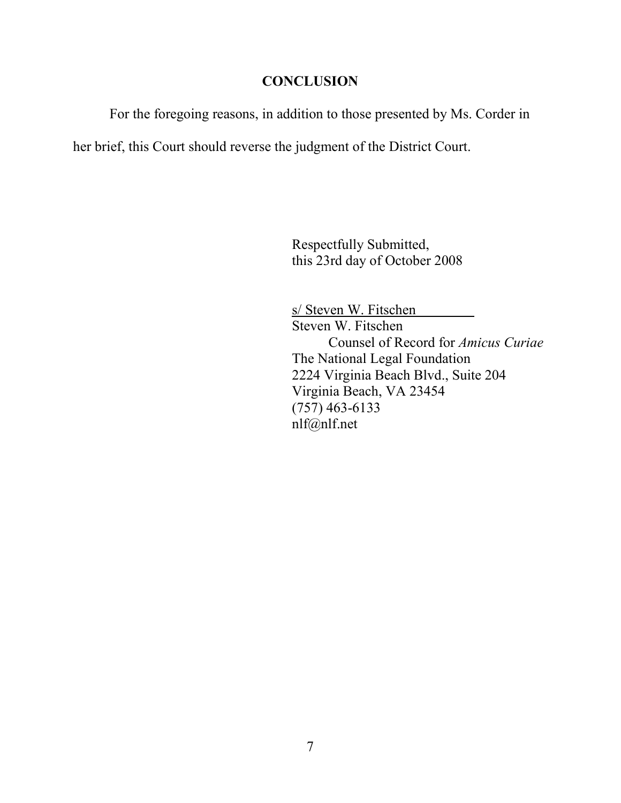## **CONCLUSION**

For the foregoing reasons, in addition to those presented by Ms. Corder in

her brief, this Court should reverse the judgment of the District Court.

Respectfully Submitted, this 23rd day of October 2008

s/ Steven W. Fitschen Steven W. Fitschen Counsel of Record for Amicus Curiae The National Legal Foundation 2224 Virginia Beach Blvd., Suite 204 Virginia Beach, VA 23454 (757) 463-6133 nlf@nlf.net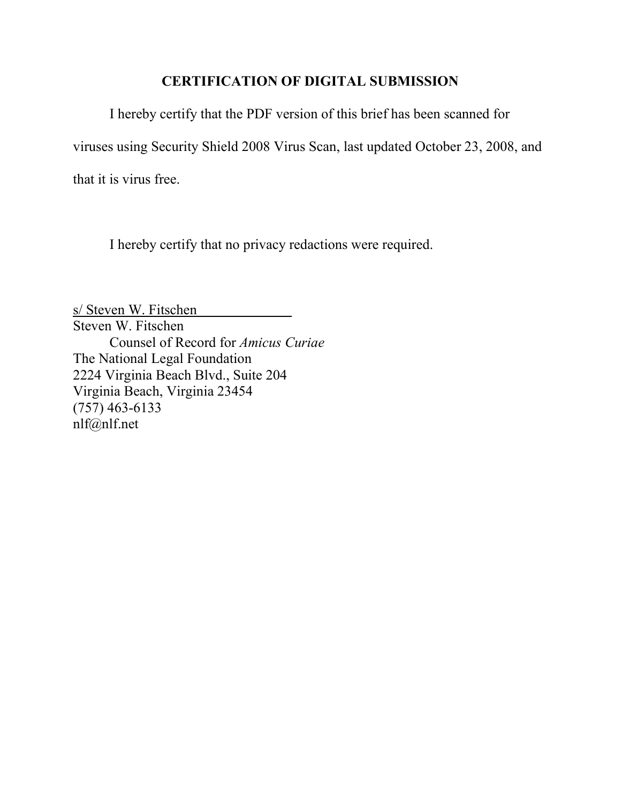## CERTIFICATION OF DIGITAL SUBMISSION

I hereby certify that the PDF version of this brief has been scanned for viruses using Security Shield 2008 Virus Scan, last updated October 23, 2008, and that it is virus free.

I hereby certify that no privacy redactions were required.

s/ Steven W. Fitschen Steven W. Fitschen Counsel of Record for Amicus Curiae The National Legal Foundation 2224 Virginia Beach Blvd., Suite 204 Virginia Beach, Virginia 23454 (757) 463-6133 nlf@nlf.net